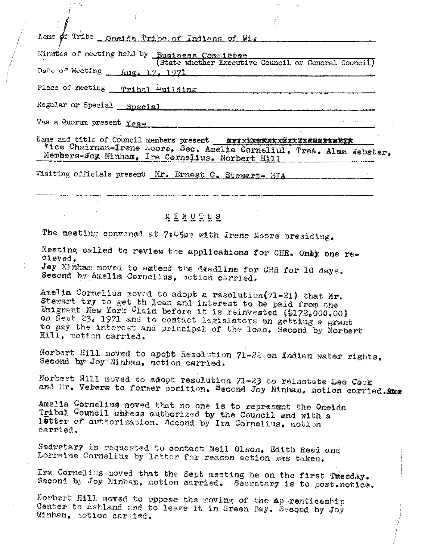Name of Tribe \_ Gneids Tribe of Indians of Wis Minutes of meeting held by Business Commistee (State whether Executive Council or General Council) Date of Meeting Aug. 17. 1971 Place of meeting Tribal Puilding Regular or Special Special Was a Quorum present Yes-Name and title of Council members present MryxErnggtxGyxExggxxxBYA

Vice Chairman-Irene Moore, Sec. Amella Corneliul, Trea. Alma Webster, Members-Joy Ninham, Ira Cornelius, Norbert Hill

Visiting officials present Mr. Ernest C. Stewart- BIA

MINUTES

The meeting convened at 7:45pm with Irene Moore presiding.

Meeting called to review the applications for CHR. Only one recieved.

Joy Ninham moved to extend the deadline for CHR for 10 days. Second by Amelia Cornelius, notion carried.

Amelia Cornelius moved to adopt a resolution(71-21) that Mr. Stewart try to get th loan and interest to be paid from the Emigrant New York Claim before it is reinvested (\$172,000.00) on Sept 23. 1971 and to contact legislators on getting a grant to pay the interest and principal of the loan. Second by Norbert Hill. motion carried.

Norbert Hill moved to apopp Resolution 71-22 on Indian water rights. Second by Joy Ninham, motion carried.

Norbert Hill moved to adopt resolution 71-23 to reinstate Lee Cook. and Mr. Verers to former position. Second Joy Ninham, motion carried. And

Amelia Cornelius moved that no one is to represunt the Oneida Tribal Council unless authorized by the Council and with a letter of authorization. Second by Ira Cornelius, motion carried.

Sedretary is requested to contact Neil 01son, Edith Reed and Lorraine Cornelius by letter for reason action was taken.

Ira Cornelius moved that the Sept meeting be on the first Tresday. Second by Joy Ninham, motion carried. Secretary is to post.notice.

Norbert Hill moved to oppose the moving of the Apprenticeship Center to Ashland and to leave it in Green Bay. Second by Joy Ninham, motion carded.